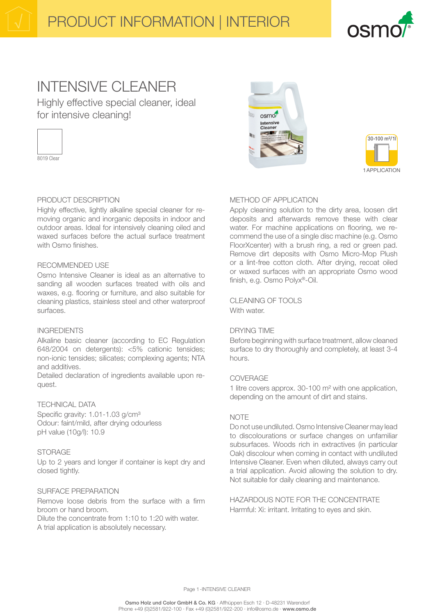

## INTENSIVE CI FANER

Highly effective special cleaner, ideal for intensive cleaning!



PRODUCT DESCRIPTION

Highly effective, lightly alkaline special cleaner for removing organic and inorganic deposits in indoor and outdoor areas. Ideal for intensively cleaning oiled and waxed surfaces before the actual surface treatment with Osmo finishes.

## RECOMMENDED USE

Osmo Intensive Cleaner is ideal as an alternative to sanding all wooden surfaces treated with oils and waxes, e.g. flooring or furniture, and also suitable for cleaning plastics, stainless steel and other waterproof surfaces.

#### INGREDIENTS

Alkaline basic cleaner (according to EC Regulation 648/2004 on detergents): <5% cationic tensides; non-ionic tensides; silicates; complexing agents; NTA and additives.

Detailed declaration of ingredients available upon request.

## TECHNICAL DATA

Specific gravity: 1.01-1.03 g/cm<sup>3</sup> Odour: faint/mild, after drying odourless pH value (10g/l): 10.9

## **STORAGE**

Up to 2 years and longer if container is kept dry and closed tightly.

#### SURFACE PREPARATION

Remove loose debris from the surface with a firm broom or hand broom.

Dilute the concentrate from 1:10 to 1:20 with water. A trial application is absolutely necessary.





## METHOD OF APPLICATION

Apply cleaning solution to the dirty area, loosen dirt deposits and afterwards remove these with clear water. For machine applications on flooring, we recommend the use of a single disc machine (e.g. Osmo FloorXcenter) with a brush ring, a red or green pad. Remove dirt deposits with Osmo Micro-Mop Plush or a lint-free cotton cloth. After drying, recoat oiled or waxed surfaces with an appropriate Osmo wood finish, e.g. Osmo Polyx®-Oil.

CLEANING OF TOOLS With water

#### DRYING TIME

Before beginning with surface treatment, allow cleaned surface to dry thoroughly and completely, at least 3-4 hours.

### COVERAGE

1 litre covers approx. 30-100 m² with one application, depending on the amount of dirt and stains.

#### **NOTE**

Do not use undiluted. Osmo Intensive Cleaner may lead to discolourations or surface changes on unfamiliar subsurfaces. Woods rich in extractives (in particular Oak) discolour when coming in contact with undiluted Intensive Cleaner. Even when diluted, always carry out a trial application. Avoid allowing the solution to dry. Not suitable for daily cleaning and maintenance.

HAZARDOUS NOTE FOR THE CONCENTRATE Harmful: Xi: irritant. Irritating to eyes and skin.

Page 1-INTENSIVE CLEANER